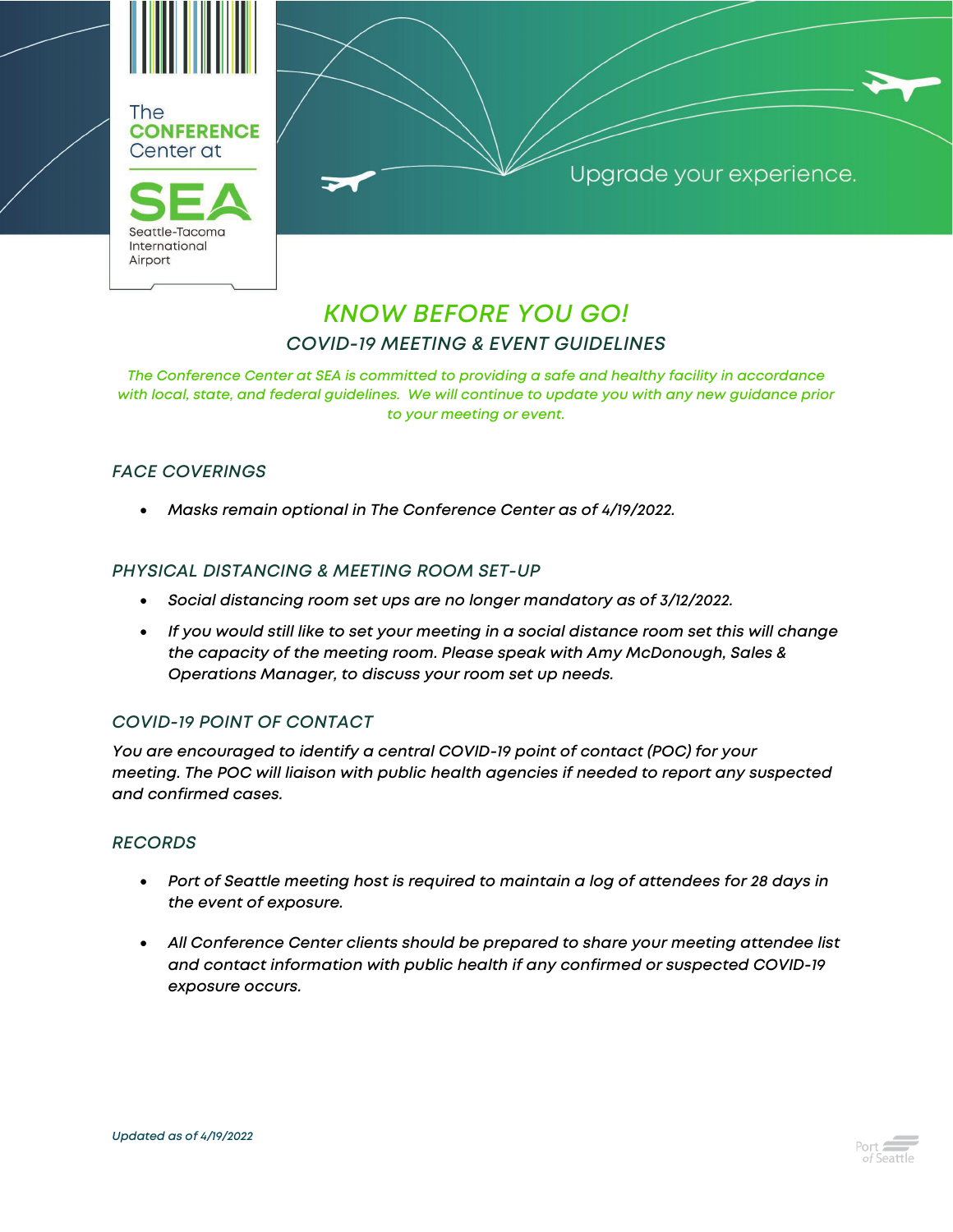

Upgrade your experience.

# *KNOW BEFORE YOU GO! COVID-19 MEETING & EVENT GUIDELINES*

*The Conference Center at SEA is committed to providing a safe and healthy facility in accordance with local, state, and federal guidelines. We will continue to update you with any new guidance prior to your meeting or event.*

## *FACE COVERINGS*

• *Masks remain optional in The Conference Center as of 4/19/2022.*

#### *PHYSICAL DISTANCING & MEETING ROOM SET-UP*

- *Social distancing room set ups are no longer mandatory as of 3/12/2022.*
- *If you would still like to set your meeting in a social distance room set this will change the capacity of the meeting room. Please speak with Amy McDonough, Sales & Operations Manager, to discuss your room set up needs.*

#### *COVID-19 POINT OF CONTACT*

*You are encouraged to identify a central COVID-19 point of contact (POC) for your meeting. The POC will liaison with public health agencies if needed to report any suspected and confirmed cases.*

#### *RECORDS*

- *Port of Seattle meeting host is required to maintain a log of attendees for 28 days in the event of exposure.*
- *All Conference Center clients should be prepared to share your meeting attendee list and contact information with public health if any confirmed or suspected COVID-19 exposure occurs.*